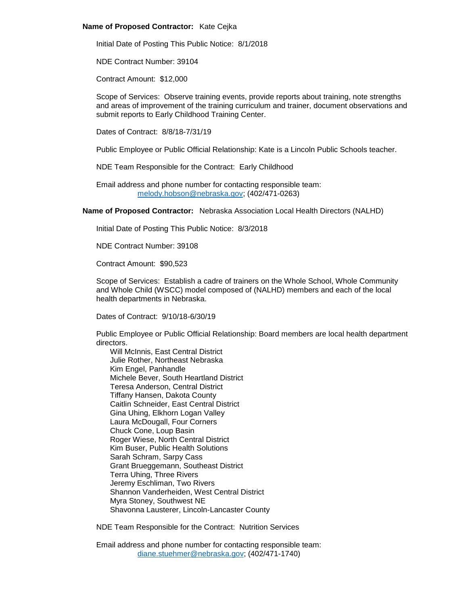## **Name of Proposed Contractor:** Kate Cejka

Initial Date of Posting This Public Notice: 8/1/2018

NDE Contract Number: 39104

Contract Amount: \$12,000

Scope of Services: Observe training events, provide reports about training, note strengths and areas of improvement of the training curriculum and trainer, document observations and submit reports to Early Childhood Training Center.

Dates of Contract: 8/8/18-7/31/19

Public Employee or Public Official Relationship: Kate is a Lincoln Public Schools teacher.

NDE Team Responsible for the Contract: Early Childhood

Email address and phone number for contacting responsible team: [melody.hobson@nebraska.gov;](mailto:melody.hobson@nebraska.gov) (402/471-0263)

**Name of Proposed Contractor:** Nebraska Association Local Health Directors (NALHD)

Initial Date of Posting This Public Notice: 8/3/2018

NDE Contract Number: 39108

Contract Amount: \$90,523

Scope of Services: Establish a cadre of trainers on the Whole School, Whole Community and Whole Child (WSCC) model composed of (NALHD) members and each of the local health departments in Nebraska.

Dates of Contract: 9/10/18-6/30/19

Public Employee or Public Official Relationship: Board members are local health department directors.

Will McInnis, East Central District Julie Rother, Northeast Nebraska Kim Engel, Panhandle Michele Bever, South Heartland District Teresa Anderson, Central District Tiffany Hansen, Dakota County Caitlin Schneider, East Central District Gina Uhing, Elkhorn Logan Valley Laura McDougall, Four Corners Chuck Cone, Loup Basin Roger Wiese, North Central District Kim Buser, Public Health Solutions Sarah Schram, Sarpy Cass Grant Brueggemann, Southeast District Terra Uhing, Three Rivers Jeremy Eschliman, Two Rivers Shannon Vanderheiden, West Central District Myra Stoney, Southwest NE Shavonna Lausterer, Lincoln-Lancaster County

NDE Team Responsible for the Contract: Nutrition Services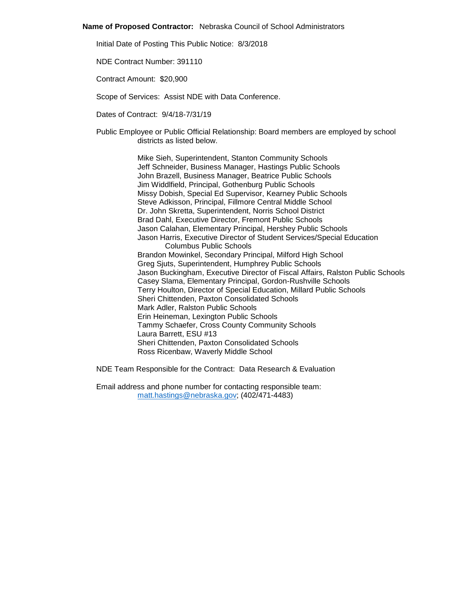#### **Name of Proposed Contractor:** Nebraska Council of School Administrators

Initial Date of Posting This Public Notice: 8/3/2018

NDE Contract Number: 391110

Contract Amount: \$20,900

Scope of Services: Assist NDE with Data Conference.

Dates of Contract: 9/4/18-7/31/19

Public Employee or Public Official Relationship: Board members are employed by school districts as listed below.

> Mike Sieh, Superintendent, Stanton Community Schools Jeff Schneider, Business Manager, Hastings Public Schools John Brazell, Business Manager, Beatrice Public Schools Jim Widdlfield, Principal, Gothenburg Public Schools Missy Dobish, Special Ed Supervisor, Kearney Public Schools Steve Adkisson, Principal, Fillmore Central Middle School Dr. John Skretta, Superintendent, Norris School District Brad Dahl, Executive Director, Fremont Public Schools Jason Calahan, Elementary Principal, Hershey Public Schools Jason Harris, Executive Director of Student Services/Special Education Columbus Public Schools Brandon Mowinkel, Secondary Principal, Milford High School Greg Sjuts, Superintendent, Humphrey Public Schools Jason Buckingham, Executive Director of Fiscal Affairs, Ralston Public Schools Casey Slama, Elementary Principal, Gordon-Rushville Schools Terry Houlton, Director of Special Education, Millard Public Schools Sheri Chittenden, Paxton Consolidated Schools Mark Adler, Ralston Public Schools Erin Heineman, Lexington Public Schools Tammy Schaefer, Cross County Community Schools Laura Barrett, ESU #13 Sheri Chittenden, Paxton Consolidated Schools Ross Ricenbaw, Waverly Middle School

NDE Team Responsible for the Contract: Data Research & Evaluation

Email address and phone number for contacting responsible team: [matt.hastings@nebraska.gov;](mailto:matt.hastings@nebraska.gov) (402/471-4483)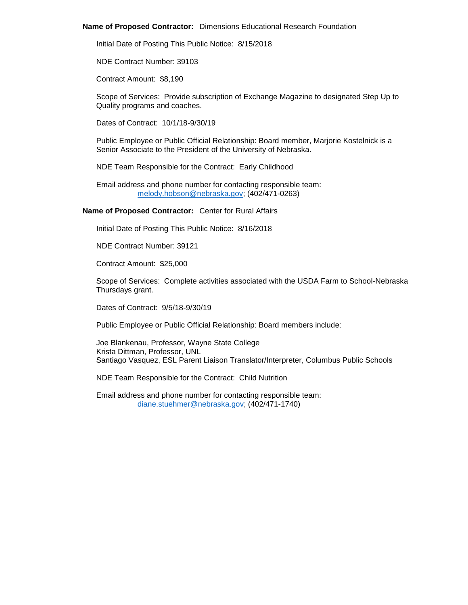### **Name of Proposed Contractor:** Dimensions Educational Research Foundation

Initial Date of Posting This Public Notice: 8/15/2018

NDE Contract Number: 39103

Contract Amount: \$8,190

Scope of Services: Provide subscription of Exchange Magazine to designated Step Up to Quality programs and coaches.

Dates of Contract: 10/1/18-9/30/19

Public Employee or Public Official Relationship: Board member, Marjorie Kostelnick is a Senior Associate to the President of the University of Nebraska.

NDE Team Responsible for the Contract: Early Childhood

Email address and phone number for contacting responsible team: [melody.hobson@nebraska.gov;](mailto:melody.hobson@nebraska.gov) (402/471-0263)

**Name of Proposed Contractor:** Center for Rural Affairs

Initial Date of Posting This Public Notice: 8/16/2018

NDE Contract Number: 39121

Contract Amount: \$25,000

Scope of Services: Complete activities associated with the USDA Farm to School-Nebraska Thursdays grant.

Dates of Contract: 9/5/18-9/30/19

Public Employee or Public Official Relationship: Board members include:

Joe Blankenau, Professor, Wayne State College Krista Dittman, Professor, UNL Santiago Vasquez, ESL Parent Liaison Translator/Interpreter, Columbus Public Schools

NDE Team Responsible for the Contract: Child Nutrition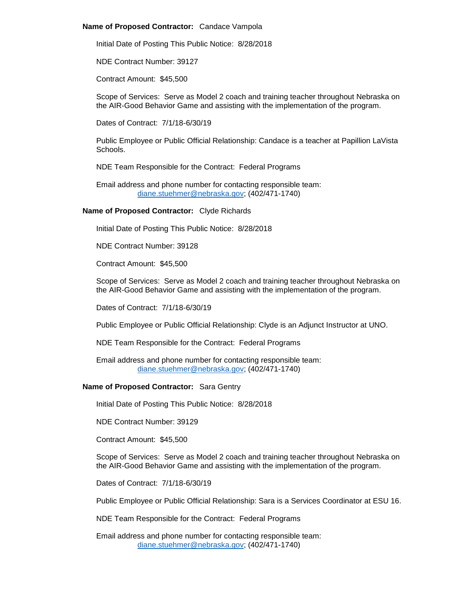## **Name of Proposed Contractor:** Candace Vampola

Initial Date of Posting This Public Notice: 8/28/2018

NDE Contract Number: 39127

Contract Amount: \$45,500

Scope of Services: Serve as Model 2 coach and training teacher throughout Nebraska on the AIR-Good Behavior Game and assisting with the implementation of the program.

Dates of Contract: 7/1/18-6/30/19

Public Employee or Public Official Relationship: Candace is a teacher at Papillion LaVista Schools.

NDE Team Responsible for the Contract: Federal Programs

Email address and phone number for contacting responsible team: [diane.stuehmer@nebraska.gov;](mailto:diane.stuehmer@nebraska.gov) (402/471-1740)

## **Name of Proposed Contractor:** Clyde Richards

Initial Date of Posting This Public Notice: 8/28/2018

NDE Contract Number: 39128

Contract Amount: \$45,500

Scope of Services: Serve as Model 2 coach and training teacher throughout Nebraska on the AIR-Good Behavior Game and assisting with the implementation of the program.

Dates of Contract: 7/1/18-6/30/19

Public Employee or Public Official Relationship: Clyde is an Adjunct Instructor at UNO.

NDE Team Responsible for the Contract: Federal Programs

Email address and phone number for contacting responsible team: [diane.stuehmer@nebraska.gov;](mailto:diane.stuehmer@nebraska.gov) (402/471-1740)

# **Name of Proposed Contractor:** Sara Gentry

Initial Date of Posting This Public Notice: 8/28/2018

NDE Contract Number: 39129

Contract Amount: \$45,500

Scope of Services: Serve as Model 2 coach and training teacher throughout Nebraska on the AIR-Good Behavior Game and assisting with the implementation of the program.

Dates of Contract: 7/1/18-6/30/19

Public Employee or Public Official Relationship: Sara is a Services Coordinator at ESU 16.

NDE Team Responsible for the Contract: Federal Programs